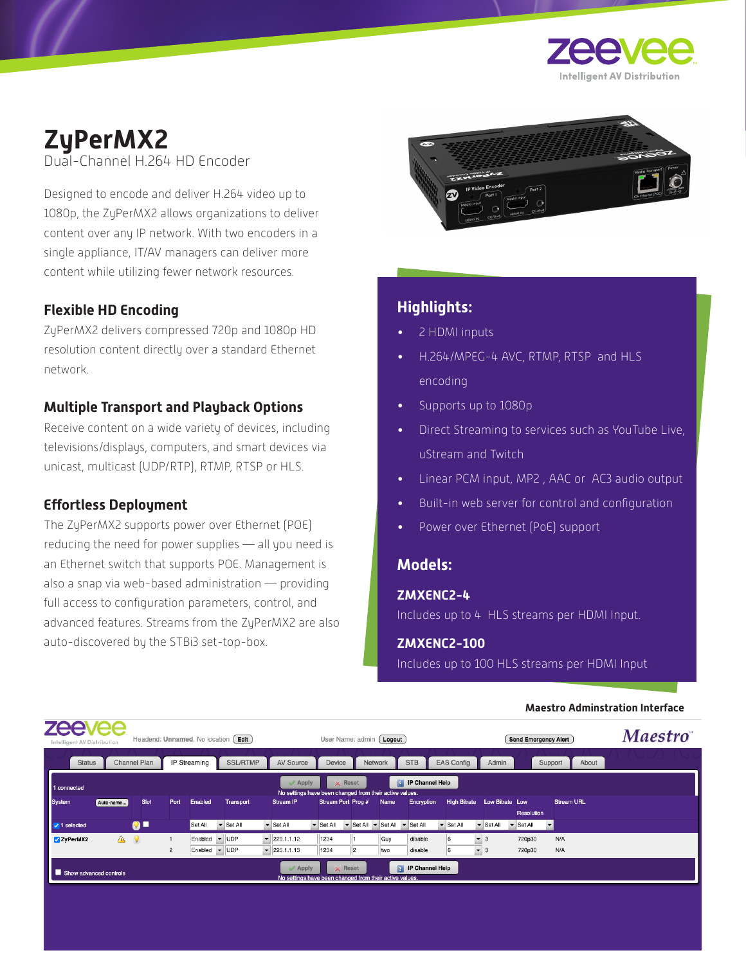

# **ZyPerMX2** Dual-Channel H.264 HD Encoder

Designed to encode and deliver H.264 video up to 1080p, the ZyPerMX2 allows organizations to deliver content over any IP network. With two encoders in a single appliance, IT/AV managers can deliver more content while utilizing fewer network resources.

### **Flexible HD Encoding**

ZyPerMX2 delivers compressed 720p and 1080p HD resolution content directly over a standard Ethernet network.

### **Multiple Transport and Playback Options**

Receive content on a wide variety of devices, including televisions/displays, computers, and smart devices via unicast, multicast (UDP/RTP), RTMP, RTSP or HLS.

## **Effortless Deployment**

The ZyPerMX2 supports power over Ethernet (POE) reducing the need for power supplies — all you need is an Ethernet switch that supports POE. Management is also a snap via web-based administration — providing full access to configuration parameters, control, and advanced features. Streams from the ZyPerMX2 are also auto-discovered by the STBi3 set-top-box.



## **Highlights:**

- 2 HDMI inputs
- H.264/MPEG-4 AVC, RTMP, RTSP and HLS encoding
- Supports up to 1080p
- Direct Streaming to services such as YouTube Live, uStream and Twitch
- Linear PCM input, MP2 , AAC or AC3 audio output
- Built-in web server for control and configuration
- Power over Ethernet (PoE) support

## **Models:**

### **ZMXENC2-4**

Includes up to 4 HLS streams per HDMI Input.

### **ZMXENC2-100**

Includes up to 100 HLS streams per HDMI Input.

#### **Maestro Adminstration Interface**